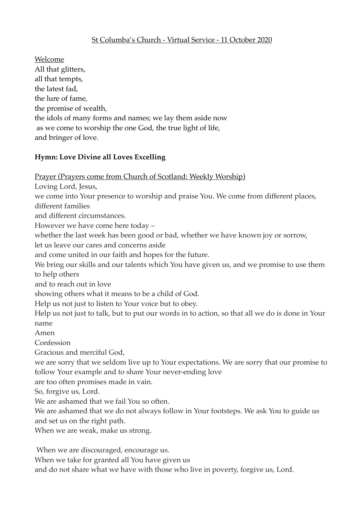# St Columba's Church - Virtual Service - 11 October 2020

Welcome All that glitters, all that tempts, the latest fad, the lure of fame, the promise of wealth, the idols of many forms and names; we lay them aside now as we come to worship the one God, the true light of life, and bringer of love.

#### **Hymn: Love Divine all Loves Excelling**

Prayer (Prayers come from Church of Scotland: Weekly Worship)

Loving Lord, Jesus,

we come into Your presence to worship and praise You. We come from different places,

different families

and different circumstances.

However we have come here today –

whether the last week has been good or bad, whether we have known joy or sorrow,

let us leave our cares and concerns aside

and come united in our faith and hopes for the future.

We bring our skills and our talents which You have given us, and we promise to use them to help others

and to reach out in love

showing others what it means to be a child of God.

Help us not just to listen to Your voice but to obey.

Help us not just to talk, but to put our words in to action, so that all we do is done in Your name

Amen

Confession

Gracious and merciful God,

we are sorry that we seldom live up to Your expectations. We are sorry that our promise to follow Your example and to share Your never-ending love

are too often promises made in vain.

So, forgive us, Lord.

We are ashamed that we fail You so often.

We are ashamed that we do not always follow in Your footsteps. We ask You to guide us and set us on the right path.

When we are weak, make us strong.

When we are discouraged, encourage us.

When we take for granted all You have given us

and do not share what we have with those who live in poverty, forgive us, Lord.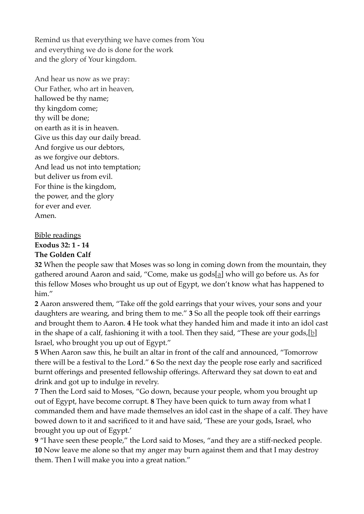Remind us that everything we have comes from You and everything we do is done for the work and the glory of Your kingdom.

And hear us now as we pray: Our Father, who art in heaven, hallowed be thy name; thy kingdom come; thy will be done; on earth as it is in heaven. Give us this day our daily bread. And forgive us our debtors, as we forgive our debtors. And lead us not into temptation; but deliver us from evil. For thine is the kingdom, the power, and the glory for ever and ever. Amen.

Bible readings **Exodus 32: 1 - 14**

# **The Golden Calf**

**32** When the people saw that Moses was so long in coming down from the mountain, they gathered around Aaron and said, "Come, make us gods[a] who will go before us. As for this fellow Moses who brought us up out of Egypt, we don't know what has happened to him."

**2** Aaron answered them, "Take off the gold earrings that your wives, your sons and your daughters are wearing, and bring them to me." **3** So all the people took off their earrings and brought them to Aaron. **4** He took what they handed him and made it into an idol cast in the shape of a calf, fashioning it with a tool. Then they said, "These are your gods, [b] Israel, who brought you up out of Egypt."

**5** When Aaron saw this, he built an altar in front of the calf and announced, "Tomorrow there will be a festival to the Lord." **6** So the next day the people rose early and sacrificed burnt offerings and presented fellowship offerings. Afterward they sat down to eat and drink and got up to indulge in revelry.

**7** Then the Lord said to Moses, "Go down, because your people, whom you brought up out of Egypt, have become corrupt. **8** They have been quick to turn away from what I commanded them and have made themselves an idol cast in the shape of a calf. They have bowed down to it and sacrificed to it and have said, 'These are your gods, Israel, who brought you up out of Egypt.'

**9** "I have seen these people," the Lord said to Moses, "and they are a stiff-necked people. **10** Now leave me alone so that my anger may burn against them and that I may destroy them. Then I will make you into a great nation."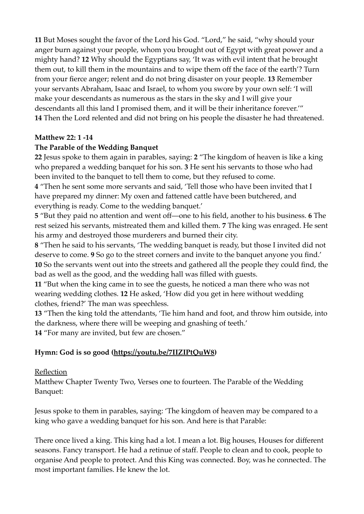**11** But Moses sought the favor of the Lord his God. "Lord," he said, "why should your anger burn against your people, whom you brought out of Egypt with great power and a mighty hand? **12** Why should the Egyptians say, 'It was with evil intent that he brought them out, to kill them in the mountains and to wipe them off the face of the earth'? Turn from your fierce anger; relent and do not bring disaster on your people. **13** Remember your servants Abraham, Isaac and Israel, to whom you swore by your own self: 'I will make your descendants as numerous as the stars in the sky and I will give your descendants all this land I promised them, and it will be their inheritance forever.'" **14** Then the Lord relented and did not bring on his people the disaster he had threatened.

#### **Matthew 22: 1 -14**

#### **The Parable of the Wedding Banquet**

**22** Jesus spoke to them again in parables, saying: **2** "The kingdom of heaven is like a king who prepared a wedding banquet for his son. **3** He sent his servants to those who had been invited to the banquet to tell them to come, but they refused to come.

**4** "Then he sent some more servants and said, 'Tell those who have been invited that I have prepared my dinner: My oxen and fattened cattle have been butchered, and everything is ready. Come to the wedding banquet.'

**5** "But they paid no attention and went off—one to his field, another to his business. **6** The rest seized his servants, mistreated them and killed them. **7** The king was enraged. He sent his army and destroyed those murderers and burned their city.

**8** "Then he said to his servants, 'The wedding banquet is ready, but those I invited did not deserve to come. **9** So go to the street corners and invite to the banquet anyone you find.' **10** So the servants went out into the streets and gathered all the people they could find, the bad as well as the good, and the wedding hall was filled with guests.

**11** "But when the king came in to see the guests, he noticed a man there who was not wearing wedding clothes. **12** He asked, 'How did you get in here without wedding clothes, friend?' The man was speechless.

**13** "Then the king told the attendants, 'Tie him hand and foot, and throw him outside, into the darkness, where there will be weeping and gnashing of teeth.'

**14** "For many are invited, but few are chosen."

## **Hymn: God is so good [\(https://youtu.be/7IIZIPtQuW8\)](https://youtu.be/7IIZIPtQuW8)**

#### Reflection

Matthew Chapter Twenty Two, Verses one to fourteen. The Parable of the Wedding Banquet:

Jesus spoke to them in parables, saying: 'The kingdom of heaven may be compared to a king who gave a wedding banquet for his son. And here is that Parable:

There once lived a king. This king had a lot. I mean a lot. Big houses, Houses for different seasons. Fancy transport. He had a retinue of staff. People to clean and to cook, people to organise And people to protect. And this King was connected. Boy, was he connected. The most important families. He knew the lot.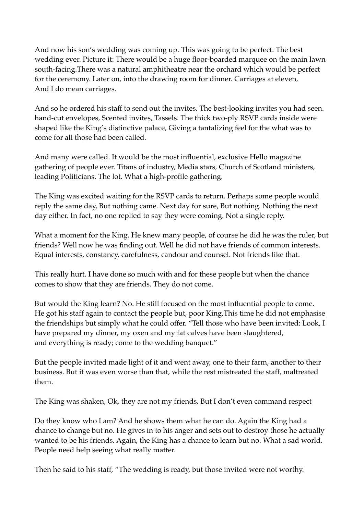And now his son's wedding was coming up. This was going to be perfect. The best wedding ever. Picture it: There would be a huge floor-boarded marquee on the main lawn south-facing.There was a natural amphitheatre near the orchard which would be perfect for the ceremony. Later on, into the drawing room for dinner. Carriages at eleven, And I do mean carriages.

And so he ordered his staff to send out the invites. The best-looking invites you had seen. hand-cut envelopes, Scented invites, Tassels. The thick two-ply RSVP cards inside were shaped like the King's distinctive palace, Giving a tantalizing feel for the what was to come for all those had been called.

And many were called. It would be the most influential, exclusive Hello magazine gathering of people ever. Titans of industry, Media stars, Church of Scotland ministers, leading Politicians. The lot. What a high-profile gathering.

The King was excited waiting for the RSVP cards to return. Perhaps some people would reply the same day, But nothing came. Next day for sure, But nothing. Nothing the next day either. In fact, no one replied to say they were coming. Not a single reply.

What a moment for the King. He knew many people, of course he did he was the ruler, but friends? Well now he was finding out. Well he did not have friends of common interests. Equal interests, constancy, carefulness, candour and counsel. Not friends like that.

This really hurt. I have done so much with and for these people but when the chance comes to show that they are friends. They do not come.

But would the King learn? No. He still focused on the most influential people to come. He got his staff again to contact the people but, poor King,This time he did not emphasise the friendships but simply what he could offer. "Tell those who have been invited: Look, I have prepared my dinner, my oxen and my fat calves have been slaughtered, and everything is ready; come to the wedding banquet."

But the people invited made light of it and went away, one to their farm, another to their business. But it was even worse than that, while the rest mistreated the staff, maltreated them.

The King was shaken, Ok, they are not my friends, But I don't even command respect

Do they know who I am? And he shows them what he can do. Again the King had a chance to change but no. He gives in to his anger and sets out to destroy those he actually wanted to be his friends. Again, the King has a chance to learn but no. What a sad world. People need help seeing what really matter.

Then he said to his staff, "The wedding is ready, but those invited were not worthy.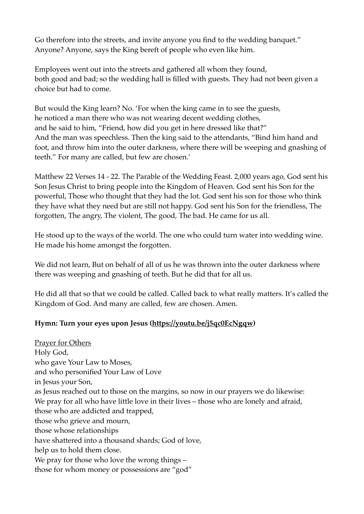Go therefore into the streets, and invite anyone you find to the wedding banquet." Anyone? Anyone, says the King bereft of people who even like him.

Employees went out into the streets and gathered all whom they found, both good and bad; so the wedding hall is filled with guests. They had not been given a choice but had to come.

But would the King learn? No. 'For when the king came in to see the guests, he noticed a man there who was not wearing decent wedding clothes, and he said to him, "Friend, how did you get in here dressed like that?" And the man was speechless. Then the king said to the attendants, "Bind him hand and foot, and throw him into the outer darkness, where there will be weeping and gnashing of teeth." For many are called, but few are chosen.'

Matthew 22 Verses 14 - 22. The Parable of the Wedding Feast. 2,000 years ago, God sent his Son Jesus Christ to bring people into the Kingdom of Heaven. God sent his Son for the powerful, Those who thought that they had the lot. God sent his son for those who think they have what they need but are still not happy. God sent his Son for the friendless, The forgotten, The angry, The violent, The good, The bad. He came for us all.

He stood up to the ways of the world. The one who could turn water into wedding wine. He made his home amongst the forgotten.

We did not learn, But on behalf of all of us he was thrown into the outer darkness where there was weeping and gnashing of teeth. But he did that for all us.

He did all that so that we could be called. Called back to what really matters. It's called the Kingdom of God. And many are called, few are chosen. Amen.

## **Hymn: Turn your eyes upon Jesus (<https://youtu.be/j5qc0EcNgqw>)**

Prayer for Others Holy God, who gave Your Law to Moses, and who personified Your Law of Love in Jesus your Son, as Jesus reached out to those on the margins, so now in our prayers we do likewise: We pray for all who have little love in their lives – those who are lonely and afraid, those who are addicted and trapped, those who grieve and mourn, those whose relationships have shattered into a thousand shards; God of love, help us to hold them close. We pray for those who love the wrong things – those for whom money or possessions are "god"